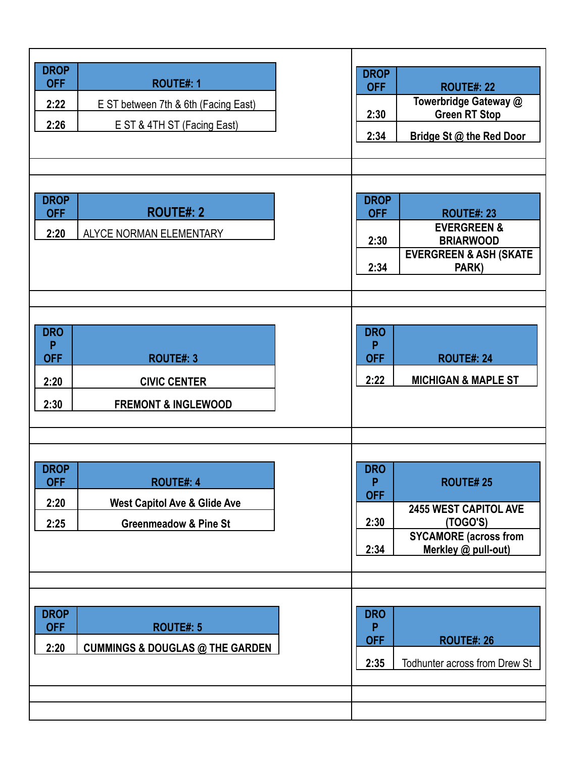| <b>DROP</b><br><b>DROP</b><br><b>OFF</b><br><b>ROUTE#: 1</b><br><b>OFF</b><br><b>ROUTE#: 22</b><br>Towerbridge Gateway @<br>2:22<br>E ST between 7th & 6th (Facing East)<br><b>Green RT Stop</b><br>2:30<br>2:26<br>E ST & 4TH ST (Facing East)                                                                     |  |
|---------------------------------------------------------------------------------------------------------------------------------------------------------------------------------------------------------------------------------------------------------------------------------------------------------------------|--|
| 2:34<br>Bridge St @ the Red Door                                                                                                                                                                                                                                                                                    |  |
| <b>DROP</b><br><b>DROP</b><br><b>ROUTE#: 2</b><br><b>OFF</b><br><b>OFF</b><br><b>ROUTE#: 23</b><br><b>EVERGREEN &amp;</b><br>2:20<br>ALYCE NORMAN ELEMENTARY<br>2:30<br><b>BRIARWOOD</b><br><b>EVERGREEN &amp; ASH (SKATE</b><br>2:34<br>PARK)                                                                      |  |
| <b>DRO</b><br><b>DRO</b><br>P<br>P<br><b>OFF</b><br><b>OFF</b><br><b>ROUTE#: 3</b><br><b>ROUTE#: 24</b><br>2:22<br><b>MICHIGAN &amp; MAPLE ST</b><br>2:20<br><b>CIVIC CENTER</b><br>2:30<br><b>FREMONT &amp; INGLEWOOD</b>                                                                                          |  |
| <b>DROP</b><br><b>DRO</b><br><b>OFF</b><br><b>ROUTE#: 4</b><br><b>ROUTE#25</b><br>P<br><b>OFF</b><br><b>West Capitol Ave &amp; Glide Ave</b><br>2:20<br><b>2455 WEST CAPITOL AVE</b><br>2:30<br>(TOGO'S)<br>2:25<br><b>Greenmeadow &amp; Pine St</b><br><b>SYCAMORE</b> (across from<br>2:34<br>Merkley @ pull-out) |  |
| <b>DROP</b><br><b>DRO</b><br><b>OFF</b><br><b>ROUTE#: 5</b><br>P<br><b>OFF</b><br><b>ROUTE#: 26</b><br>2:20<br><b>CUMMINGS &amp; DOUGLAS @ THE GARDEN</b><br>2:35<br>Todhunter across from Drew St                                                                                                                  |  |